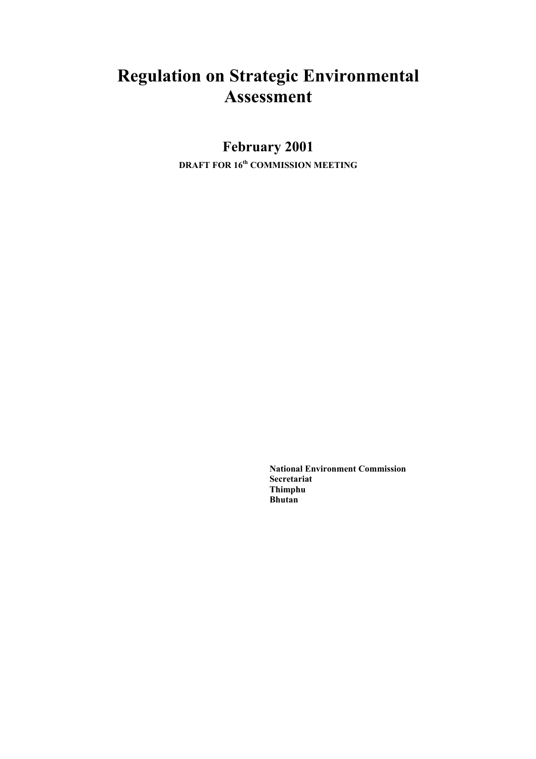# **Regulation on Strategic Environmental Assessment**

# **February 2001**

**DRAFT FOR 16th COMMISSION MEETING** 

**National Environment Commission Secretariat Thimphu Bhutan**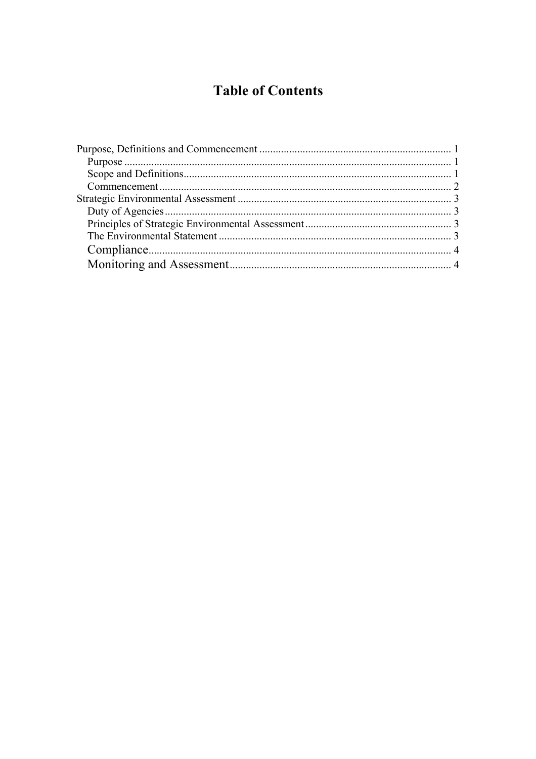# **Table of Contents**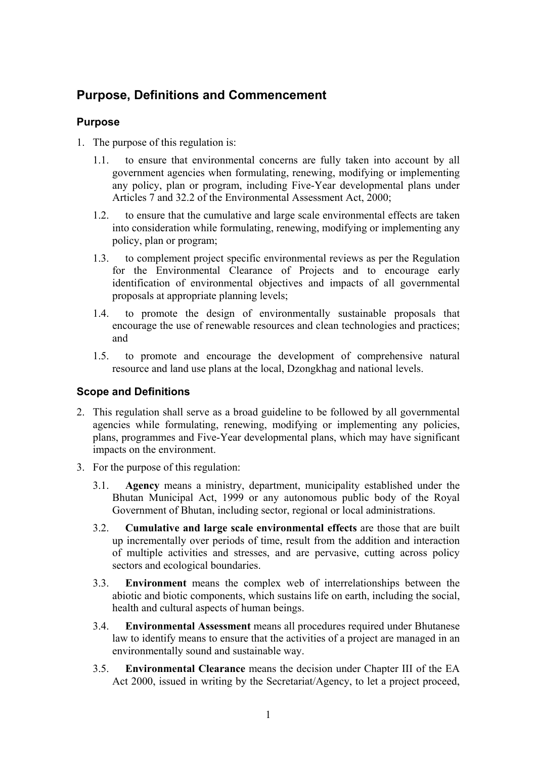# <span id="page-2-0"></span>**Purpose, Definitions and Commencement**

## **Purpose**

- 1. The purpose of this regulation is:
	- 1.1. to ensure that environmental concerns are fully taken into account by all government agencies when formulating, renewing, modifying or implementing any policy, plan or program, including Five-Year developmental plans under Articles 7 and 32.2 of the Environmental Assessment Act, 2000;
	- 1.2. to ensure that the cumulative and large scale environmental effects are taken into consideration while formulating, renewing, modifying or implementing any policy, plan or program;
	- 1.3. to complement project specific environmental reviews as per the Regulation for the Environmental Clearance of Projects and to encourage early identification of environmental objectives and impacts of all governmental proposals at appropriate planning levels;
	- 1.4. to promote the design of environmentally sustainable proposals that encourage the use of renewable resources and clean technologies and practices; and
	- 1.5. to promote and encourage the development of comprehensive natural resource and land use plans at the local, Dzongkhag and national levels.

## **Scope and Definitions**

- 2. This regulation shall serve as a broad guideline to be followed by all governmental agencies while formulating, renewing, modifying or implementing any policies, plans, programmes and Five-Year developmental plans, which may have significant impacts on the environment.
- 3. For the purpose of this regulation:
	- 3.1. **Agency** means a ministry, department, municipality established under the Bhutan Municipal Act, 1999 or any autonomous public body of the Royal Government of Bhutan, including sector, regional or local administrations.
	- 3.2. **Cumulative and large scale environmental effects** are those that are built up incrementally over periods of time, result from the addition and interaction of multiple activities and stresses, and are pervasive, cutting across policy sectors and ecological boundaries.
	- 3.3. **Environment** means the complex web of interrelationships between the abiotic and biotic components, which sustains life on earth, including the social, health and cultural aspects of human beings.
	- 3.4. **Environmental Assessment** means all procedures required under Bhutanese law to identify means to ensure that the activities of a project are managed in an environmentally sound and sustainable way.
	- 3.5. **Environmental Clearance** means the decision under Chapter III of the EA Act 2000, issued in writing by the Secretariat/Agency, to let a project proceed,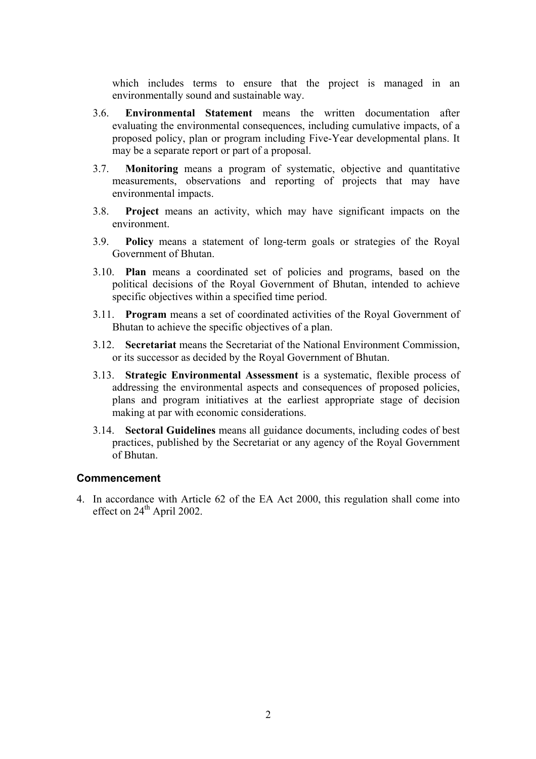<span id="page-3-0"></span>which includes terms to ensure that the project is managed in an environmentally sound and sustainable way.

- 3.6. **Environmental Statement** means the written documentation after evaluating the environmental consequences, including cumulative impacts, of a proposed policy, plan or program including Five-Year developmental plans. It may be a separate report or part of a proposal.
- 3.7. **Monitoring** means a program of systematic, objective and quantitative measurements, observations and reporting of projects that may have environmental impacts.
- 3.8. **Project** means an activity, which may have significant impacts on the environment.
- 3.9. **Policy** means a statement of long-term goals or strategies of the Royal Government of Bhutan.
- 3.10. **Plan** means a coordinated set of policies and programs, based on the political decisions of the Royal Government of Bhutan, intended to achieve specific objectives within a specified time period.
- 3.11. **Program** means a set of coordinated activities of the Royal Government of Bhutan to achieve the specific objectives of a plan.
- 3.12. **Secretariat** means the Secretariat of the National Environment Commission, or its successor as decided by the Royal Government of Bhutan.
- 3.13. **Strategic Environmental Assessment** is a systematic, flexible process of addressing the environmental aspects and consequences of proposed policies, plans and program initiatives at the earliest appropriate stage of decision making at par with economic considerations.
- 3.14. **Sectoral Guidelines** means all guidance documents, including codes of best practices, published by the Secretariat or any agency of the Royal Government of Bhutan.

#### **Commencement**

4. In accordance with Article 62 of the EA Act 2000, this regulation shall come into effect on 24<sup>th</sup> April 2002.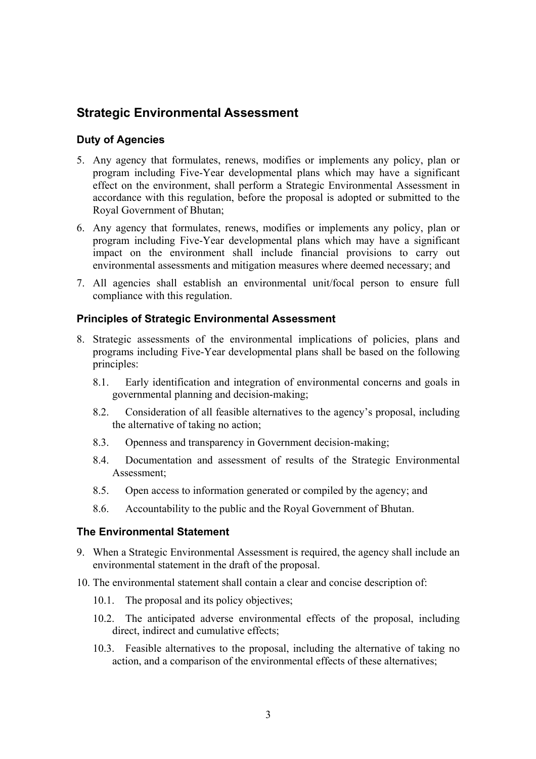## <span id="page-4-0"></span>**Strategic Environmental Assessment**

### **Duty of Agencies**

- 5. Any agency that formulates, renews, modifies or implements any policy, plan or program including Five-Year developmental plans which may have a significant effect on the environment, shall perform a Strategic Environmental Assessment in accordance with this regulation, before the proposal is adopted or submitted to the Royal Government of Bhutan;
- 6. Any agency that formulates, renews, modifies or implements any policy, plan or program including Five-Year developmental plans which may have a significant impact on the environment shall include financial provisions to carry out environmental assessments and mitigation measures where deemed necessary; and
- 7. All agencies shall establish an environmental unit/focal person to ensure full compliance with this regulation.

### **Principles of Strategic Environmental Assessment**

- 8. Strategic assessments of the environmental implications of policies, plans and programs including Five-Year developmental plans shall be based on the following principles:
	- 8.1. Early identification and integration of environmental concerns and goals in governmental planning and decision-making;
	- 8.2. Consideration of all feasible alternatives to the agency's proposal, including the alternative of taking no action;
	- 8.3. Openness and transparency in Government decision-making;
	- 8.4. Documentation and assessment of results of the Strategic Environmental Assessment;
	- 8.5. Open access to information generated or compiled by the agency; and
	- 8.6. Accountability to the public and the Royal Government of Bhutan.

#### **The Environmental Statement**

- 9. When a Strategic Environmental Assessment is required, the agency shall include an environmental statement in the draft of the proposal.
- 10. The environmental statement shall contain a clear and concise description of:
	- 10.1. The proposal and its policy objectives;
	- 10.2. The anticipated adverse environmental effects of the proposal, including direct, indirect and cumulative effects;
	- 10.3. Feasible alternatives to the proposal, including the alternative of taking no action, and a comparison of the environmental effects of these alternatives;